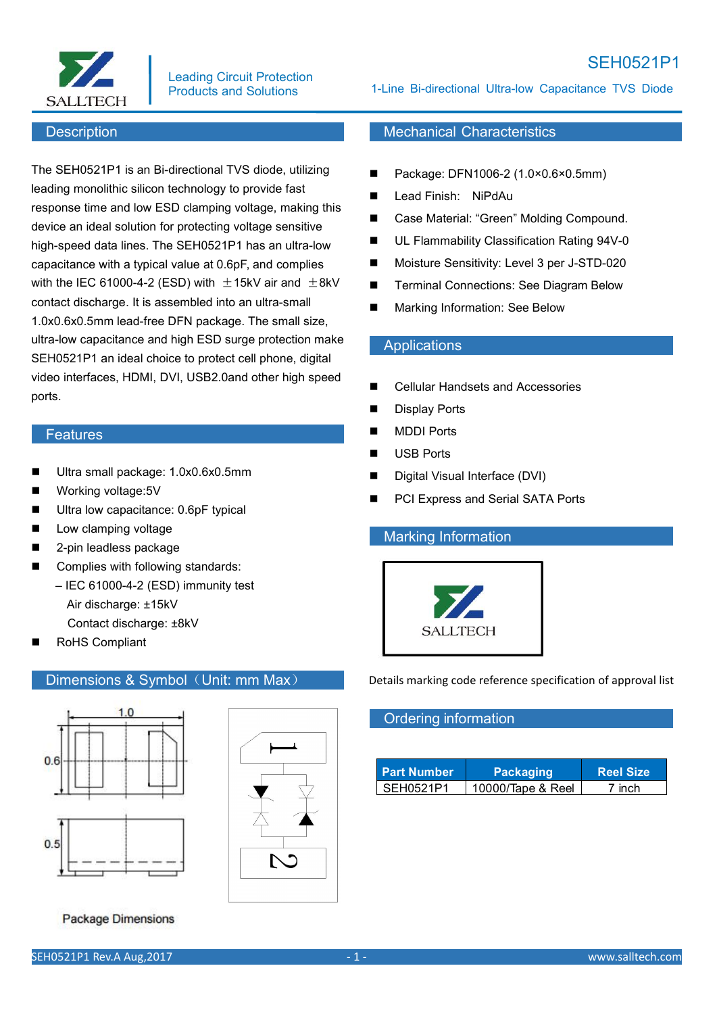

### Leading Circuit Protection Products and Solutions

#### **Description**

The SEH0521P1 is an Bi-directional TVS diode, utilizing leading monolithic silicon technology to provide fast response time and low ESD clamping voltage, making this device an ideal solution for protecting voltage sensitive high-speed data lines. The SEH0521P1 has an ultra-low capacitance with a typical value at 0.6pF, and complies with the IEC 61000-4-2 (ESD) with  $\pm$ 15kV air and  $\pm$ 8kV  $\qquad \blacksquare$ contact discharge. It is assembled into an ultra-small 1.0x0.6x0.5mm lead-free DFN package. The small size, ultra-low capacitance and high ESD surge protection make SEH0521P1 an ideal choice to protect cell phone, digital video interfaces, HDMI, DVI, USB2.0and other high speed ports.

#### **Features**

- Ultra small package: 1.0x0.6x0.5mm
- Working voltage:5V
- Ultra low capacitance: 0.6pF typical
- **Low clamping voltage**
- 2-pin leadless package
- Complies with following standards: – IEC 61000-4-2 (ESD) immunity test Air discharge: ±15kV Contact discharge: ±8kV
- RoHS Compliant

## Dimensions & Symbol (Unit: mm Max)



**Package Dimensions** 

1-Line Bi-directional Ultra-low Capacitance TVS Diode

# Mechanical Characteristics

- Package: DFN1006-2 (1.0×0.6×0.5mm)
- Lead Finish: NiPdAu
- Case Material: "Green" Molding Compound.
- UL Flammability Classification Rating 94V-0
- Moisture Sensitivity: Level 3 per J-STD-020
- Terminal Connections: See Diagram Below
- Marking Information: See Below

#### **Applications**

- Cellular Handsets and Accessories
- Display Ports
- **MDDI Ports**
- USB Ports
- Digital Visual Interface (DVI)
- PCI Express and Serial SATA Ports

#### Marking Information



Details marking code reference specification of approval list

## Ordering information

| <b>Part Number</b> | Packaging         | <b>Reel Size</b>  |
|--------------------|-------------------|-------------------|
| SEH0521P1          | 10000/Tape & Reel | <sup>ㅋ</sup> inch |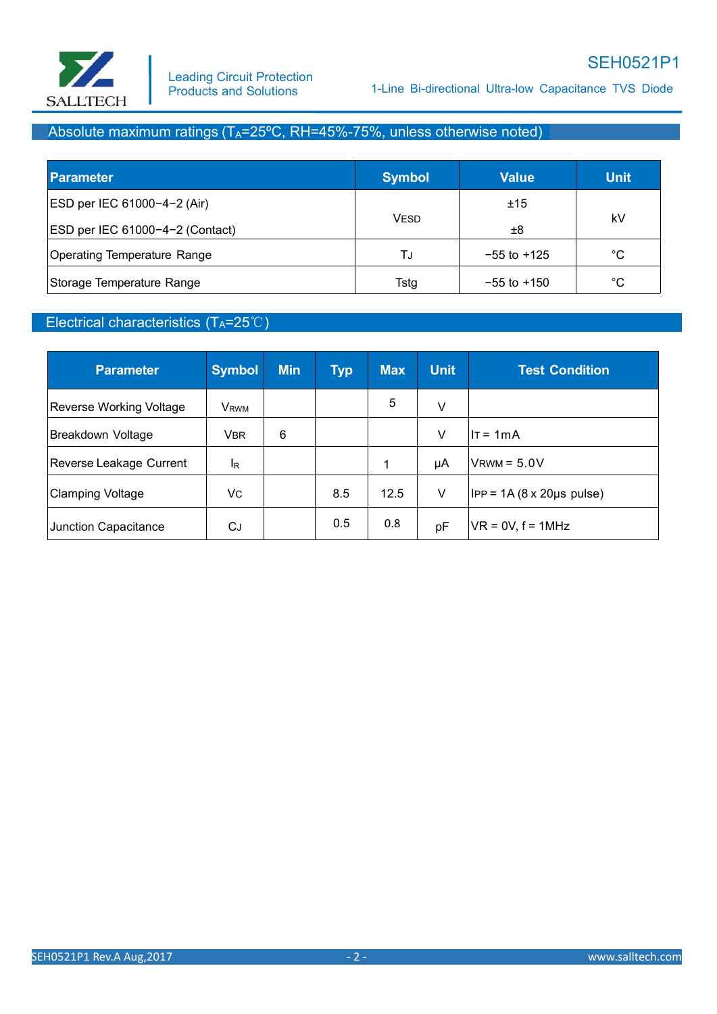

1-Line Bi-directional Ultra-low Capacitance TVS Diode

# Absolute maximum ratings  $(T_A=25^{\circ}C, RH=45\% - 75\%$ , unless otherwise noted)

| Parameter                          | <b>Symbol</b> | <b>Value</b>    | <b>Unit</b>  |
|------------------------------------|---------------|-----------------|--------------|
| ESD per IEC 61000-4-2 (Air)        |               | ±15             |              |
| $ ESD$ per IEC 61000-4-2 (Contact) | <b>VESD</b>   | ±8              | kV           |
| Operating Temperature Range        | TJ            | $-55$ to $+125$ | $^{\circ}$ C |
| Storage Temperature Range          | Tstg          | $-55$ to $+150$ | $^{\circ}$ C |

## Electrical characteristics (TA=25℃)

| <b>Parameter</b>        | <b>Symbol</b>    | <b>Min</b> | <b>Typ</b> | <b>Max</b> | <b>Unit</b> | <b>Test Condition</b>             |
|-------------------------|------------------|------------|------------|------------|-------------|-----------------------------------|
| Reverse Working Voltage | V <sub>RWM</sub> |            |            | 5          | V           |                                   |
| Breakdown Voltage       | <b>VBR</b>       | 6          |            |            | V           | $IT = 1mA$                        |
| Reverse Leakage Current | <sup>I</sup> R   |            |            | и          | μA          | $V$ RWM = $5.0V$                  |
| Clamping Voltage        | Vc               |            | 8.5        | 12.5       | V           | $ IPP = 1A (8 x 20 \mu s pulse) $ |
| Junction Capacitance    | CJ               |            | 0.5        | 0.8        | pF          | $VR = 0V, f = 1MHz$               |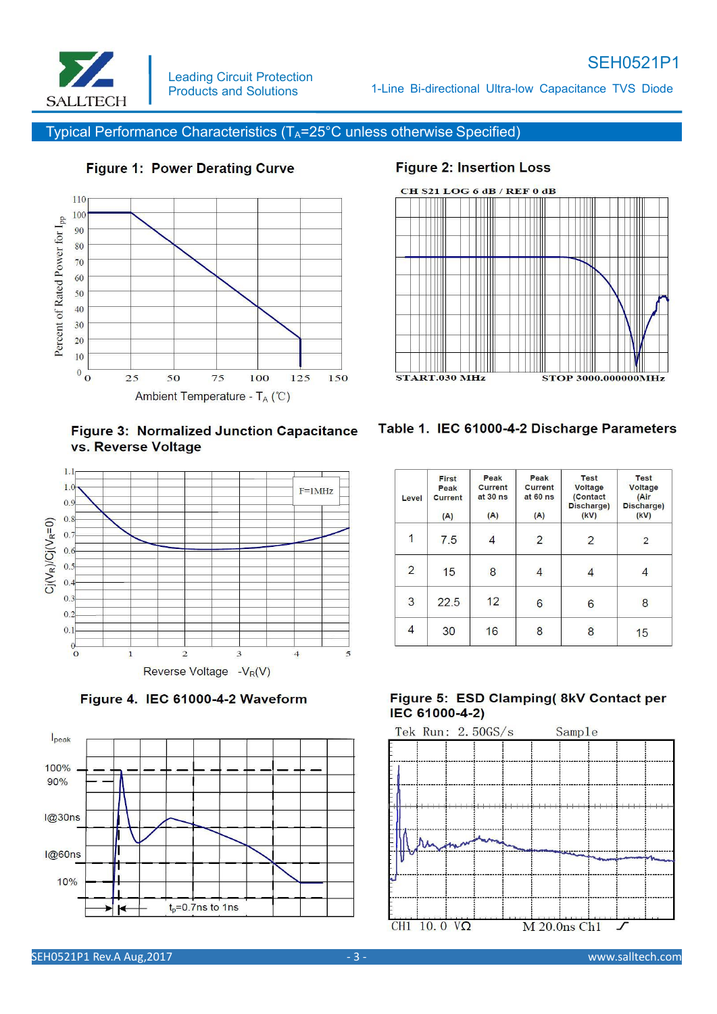

# SEH0521P1

1-Line Bi-directional Ultra-low Capacitance TVS Diode

Typical Performance Characteristics (T<sub>A</sub>=25°C unless otherwise Specified)



# **Figure 1: Power Derating Curve**

# **Figure 2: Insertion Loss**













| Level                   | First<br>Peak<br><b>Current</b><br>(A) | Peak<br><b>Current</b><br>at 30 ns<br>(A) | Peak<br>Current<br>at 60 ns<br>(A) | <b>Test</b><br>Voltage<br>(Contact<br>Discharge)<br>(kV) | <b>Test</b><br><b>Voltage</b><br>(Air<br>Discharge)<br>(kV) |
|-------------------------|----------------------------------------|-------------------------------------------|------------------------------------|----------------------------------------------------------|-------------------------------------------------------------|
| $\overline{\mathbf{1}}$ | 7.5                                    |                                           | $\overline{2}$                     | 2                                                        | 2                                                           |
| $\overline{2}$          | 15                                     | 8                                         | 4                                  | 4                                                        |                                                             |
| 3                       | 22.5                                   | 12                                        | 6                                  | $6\overline{6}$                                          | 8                                                           |
| 4                       | 30                                     | 16                                        | 8                                  | 8                                                        | 15                                                          |

## Figure 5: ESD Clamping( 8kV Contact per IEC 61000-4-2)

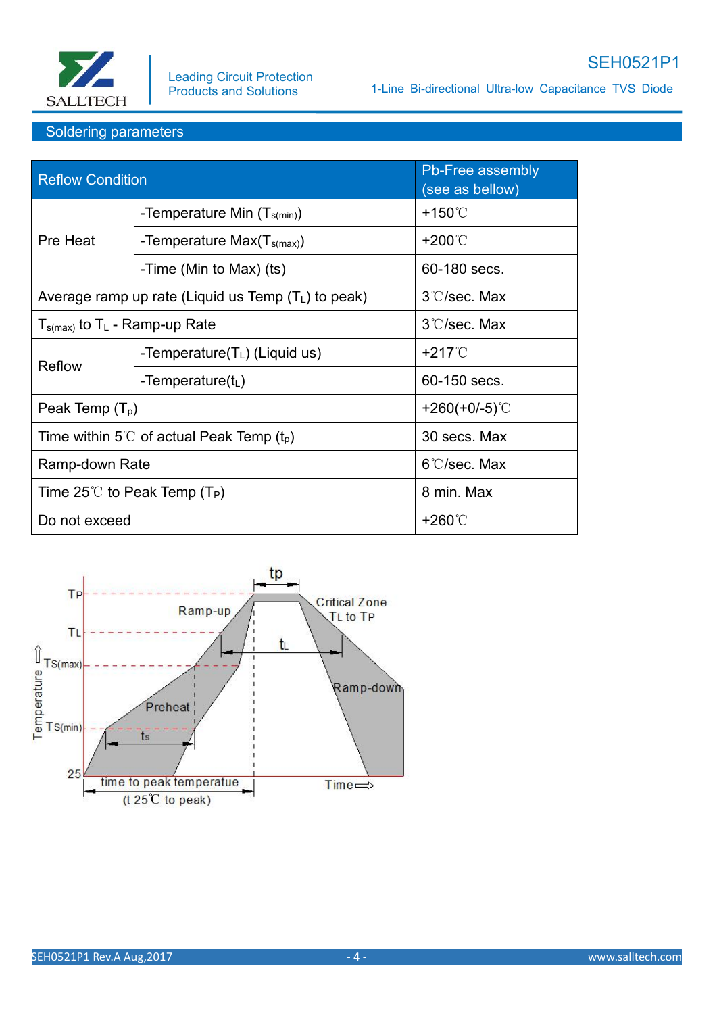

1-Line Bi-directional Ultra-low Capacitance TVS Diode

## Soldering parameters

| <b>Reflow Condition</b>                               |                                                       | Pb-Free assembly<br>(see as bellow) |  |
|-------------------------------------------------------|-------------------------------------------------------|-------------------------------------|--|
|                                                       | -Temperature Min $(T_{s(min)})$                       | $+150^{\circ}$                      |  |
| Pre Heat                                              | -Temperature $Max(Ts(max))$                           | +200℃                               |  |
|                                                       | -Time (Min to Max) (ts)                               | 60-180 secs.                        |  |
|                                                       | Average ramp up rate (Liquid us Temp $(T_L)$ to peak) | 3°C/sec. Max                        |  |
| $T_{s(max)}$ to T <sub>L</sub> - Ramp-up Rate         |                                                       | 3°C/sec. Max                        |  |
| Reflow                                                | -Temperature( $T_L$ ) (Liquid us)                     | $+217^{\circ}$                      |  |
|                                                       | -Temperature( $t_L$ )                                 | 60-150 secs.                        |  |
| Peak Temp $(T_p)$                                     |                                                       | +260(+0/-5) $°C$                    |  |
| Time within 5°C of actual Peak Temp (t <sub>p</sub> ) |                                                       | 30 secs. Max                        |  |
| Ramp-down Rate                                        |                                                       | $6^{\circ}$ C/sec. Max              |  |
| Time 25°C to Peak Temp (T <sub>P</sub> )              |                                                       | 8 min. Max                          |  |
| Do not exceed                                         |                                                       | +260℃                               |  |